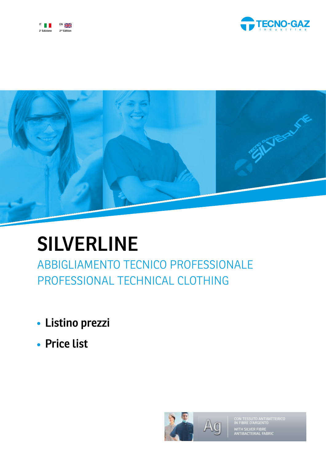





# **SILVERLINE**

ABBIGLIAMENTO TECNICO PROFESSIONALE PROFESSIONAL TECHNICAL CLOTHING

- **Listino prezzi**
- **Price list**



WITH SILVER FIBRE ANTIBACTERIAL FABRIC UTO ANTIBATTERICO<br>NARCENTO CON TESS<br>IN FIBRE D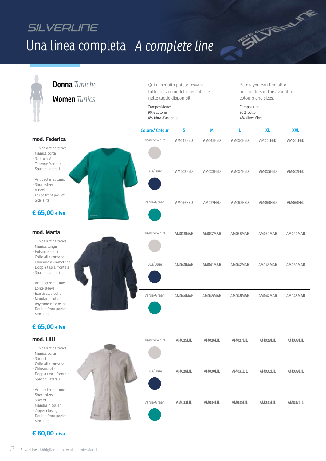# SILVERLINE Una linea completa A complete line



**SILVERY LE**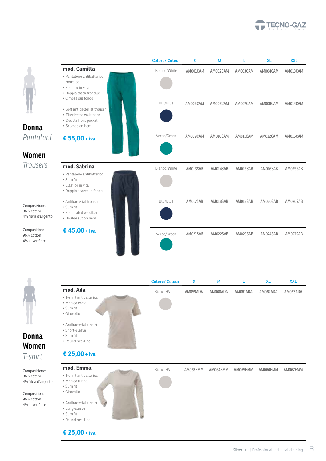





### *T-shirt* **Women Donna**

Composizione: 96% cotone 4% fibra d'argento

Composition: 96% cotton 4% silver fibre

• Long-sleeve • Slim fit • Round neckline

**€ 25,00 + iva**

|                         | <b>Colore/Colour</b> | s        | M        |          | <b>XL</b> | <b>XXL</b> |
|-------------------------|----------------------|----------|----------|----------|-----------|------------|
| mod. Ada                | Bianco/White         | AM059ADA | AM060ADA | AM061ADA | AM062ADA  | AM063ADA   |
| • T-shirt antibatterica |                      |          |          |          |           |            |
| · Manica corta          |                      |          |          |          |           |            |
| • Slim fit              |                      |          |          |          |           |            |
| · Girocollo             |                      |          |          |          |           |            |
| • Antibacterial t-shirt |                      |          |          |          |           |            |
| · Short-sleeve          |                      |          |          |          |           |            |
| • Slim fit              |                      |          |          |          |           |            |
| • Round neckline        |                      |          |          |          |           |            |
|                         |                      |          |          |          |           |            |
| € 25,00 + iva           |                      |          |          |          |           |            |
| mod. Emma               | Bianco/White         | AM063EMM | AM064EMM | AM065EMM | AM066EMM  | AM067EMM   |
| · T-shirt antibatterica |                      |          |          |          |           |            |
| · Manica lunga          |                      |          |          |          |           |            |
| • Slim fit              |                      |          |          |          |           |            |
| · Girocollo             |                      |          |          |          |           |            |
| • Antibacterial t-shirt |                      |          |          |          |           |            |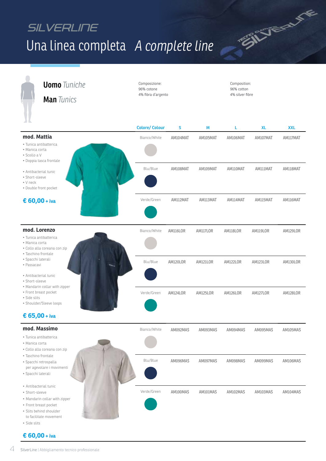# SILVERLINE Una linea completa *A complete line*

**SILVERY FE** 

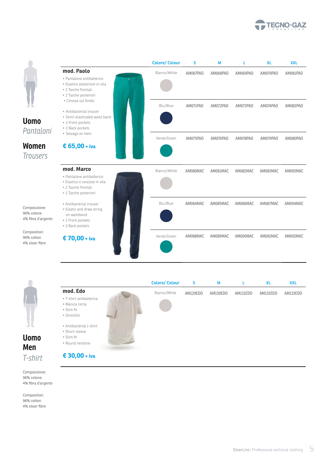





### *T-shirt* **Men Uomo**

Composizione: 96% cotone 4% fibra d'argento

Composition: 96% cotton 4% silver fibre

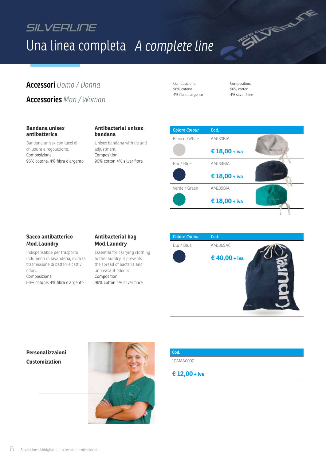## SILVERLINE Una linea completa *A complete line*

### **Accessori** *Uomo / Donna* Composizione: Composizione: Composition: **Accessories** *Man / Woman*

**Bandana unisex antibatterica**

Bandana unisex con lacci di chiusura e regolazione. Composizione:

96% cotone, 4% fibra d'argento

#### **Antibacterial unisex bandana**

Unisex bandana with tie and adjustment. Composition: 96% cotton 4% silver fibre

Composizione: 96% cotone 4% fibra d'argento

96% cotton 4% silver fibre

SILVERY VE



#### **Sacco antibatterico Mod.Laundry**

Indispensabile per trasporto indumenti in lavanderia, evita la trasmissione di batteri e cattivi odori. Composizione:

96% cotone, 4% fibra d'argento

#### **Antibacterial bag Mod.Laundry**

Essential for carrying clothing to the laundry, it prevents the spread of bacteria and unpleasant odours. Composition: 96% cotton 4% silver fibre

| <b>Colore Colour</b> | Cod.          |  |
|----------------------|---------------|--|
| Blu / Blue           | AM136SAC      |  |
|                      | € 40,00 + iva |  |

#### **Customization Personalizzaioni**



#### **Cod.**

1CAMA0007

#### **€ 12,00 + iva**

6 SilverLine | Abbigliamento tecnico professionale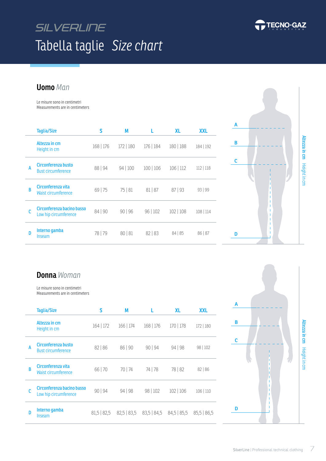# SILVERLINE Tabella taglie *Size chart*



**Uomo** *Man*

Le misure sono in centimetri Measurements are in centimeters

|   | <b>Taglia/Size</b>                                  | S         | Μ         |           | <b>XL</b> | <b>XXL</b>  |
|---|-----------------------------------------------------|-----------|-----------|-----------|-----------|-------------|
|   | Altezza in cm<br>Height in cm                       | 168   176 | 172   180 | 176   184 | 180   188 | 184   192   |
| A | Circonferenza busto<br><b>Bust circumference</b>    | 88   94   | 94 100    | 100 106   | 106   112 | $112$   118 |
| B | Circonferenza vita<br>Waist circumference           | 69 75     | 75 81     | 81   87   | 87   93   | 93   99     |
|   | Circonferenza bacino basso<br>Low hip circumference | 84   90   | 90   96   | 96 102    | 102   108 | 108   114   |
| n | Interno gamba<br>Inseam                             | 78   79   | 80   81   | 82   83   | 84 85     | 86   87     |



### **Donna** *Woman*

Le misure sono in centimetri Measurements are in centimeters

|   | <b>Taglia/Size</b>                                  | S             | М             |               | <b>XL</b>     | <b>XXL</b>    |
|---|-----------------------------------------------------|---------------|---------------|---------------|---------------|---------------|
|   | Altezza in cm<br>Height in cm                       | $164$   172   | 166   174     | 168   176     | 170   178     | 172   180     |
| А | Circonferenza busto<br><b>Bust circumference</b>    | 82   86       | 86   90       | 90   94       | 94   98       | 98   102      |
| B | Circonferenza vita<br><b>Waist circumference</b>    | 66   70       | 70   74       | 74   78       | 78   82       | 82   86       |
| C | Circonferenza bacino basso<br>Low hip circumference | 90   94       | 94   98       | 98   102      | 102   106     | 106   110     |
| D | Interno gamba<br>Inseam                             | $81,5$   82,5 | $82,5$   83,5 | $83,5$   84,5 | $84,5$   85,5 | $85,5$   86,5 |